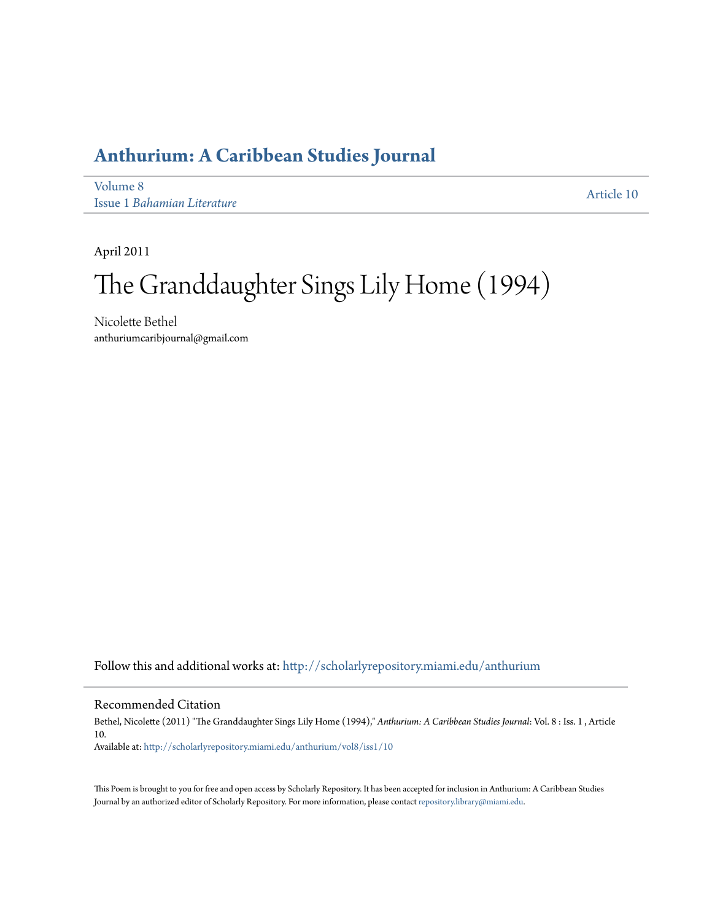## **[Anthurium: A Caribbean Studies Journal](http://scholarlyrepository.miami.edu/anthurium?utm_source=scholarlyrepository.miami.edu%2Fanthurium%2Fvol8%2Fiss1%2F10&utm_medium=PDF&utm_campaign=PDFCoverPages)**

[Volume 8](http://scholarlyrepository.miami.edu/anthurium/vol8?utm_source=scholarlyrepository.miami.edu%2Fanthurium%2Fvol8%2Fiss1%2F10&utm_medium=PDF&utm_campaign=PDFCoverPages) Issue 1 *[Bahamian Literature](http://scholarlyrepository.miami.edu/anthurium/vol8/iss1?utm_source=scholarlyrepository.miami.edu%2Fanthurium%2Fvol8%2Fiss1%2F10&utm_medium=PDF&utm_campaign=PDFCoverPages)*

[Article 10](http://scholarlyrepository.miami.edu/anthurium/vol8/iss1/10?utm_source=scholarlyrepository.miami.edu%2Fanthurium%2Fvol8%2Fiss1%2F10&utm_medium=PDF&utm_campaign=PDFCoverPages)

April 2011

## The Granddaughter Sings Lily Home (1994)

Nicolette Bethel anthuriumcaribjournal@gmail.com

Follow this and additional works at: [http://scholarlyrepository.miami.edu/anthurium](http://scholarlyrepository.miami.edu/anthurium?utm_source=scholarlyrepository.miami.edu%2Fanthurium%2Fvol8%2Fiss1%2F10&utm_medium=PDF&utm_campaign=PDFCoverPages)

## Recommended Citation

Bethel, Nicolette (2011) "The Granddaughter Sings Lily Home (1994)," *Anthurium: A Caribbean Studies Journal*: Vol. 8 : Iss. 1 , Article 10.

Available at: [http://scholarlyrepository.miami.edu/anthurium/vol8/iss1/10](http://scholarlyrepository.miami.edu/anthurium/vol8/iss1/10?utm_source=scholarlyrepository.miami.edu%2Fanthurium%2Fvol8%2Fiss1%2F10&utm_medium=PDF&utm_campaign=PDFCoverPages)

This Poem is brought to you for free and open access by Scholarly Repository. It has been accepted for inclusion in Anthurium: A Caribbean Studies Journal by an authorized editor of Scholarly Repository. For more information, please contact [repository.library@miami.edu](mailto:repository.library@miami.edu).